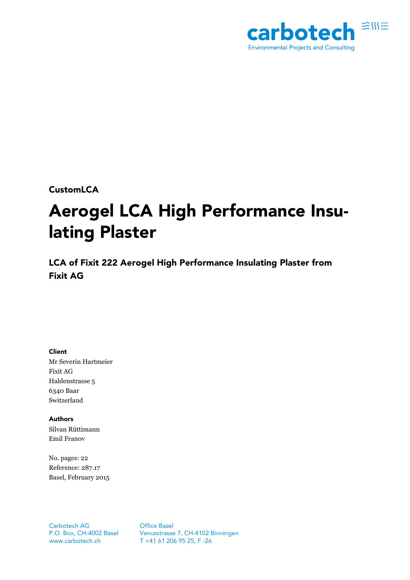

**CustomLCA** 

# **Aerogel LCA High Performance Insulating Plaster**

**LCA of Fixit 222 Aerogel High Performance Insulating Plaster from Fixit AG** 

**Client** 

Mr Severin Hartmeier Fixit AG Haldenstrasse 5 6340 Baar Switzerland

**Authors**  Silvan Rüttimann Emil Franov

No. pages: 22 Reference: 287.17 Basel, February 2015

Carbotech AG P.O. Box, CH-4002 Basel [www.carbotech.ch](http://www.carbotech.ch)

Office Basel Venusstrasse 7, CH-4102 Binningen T +41 61 206 95 25, F -26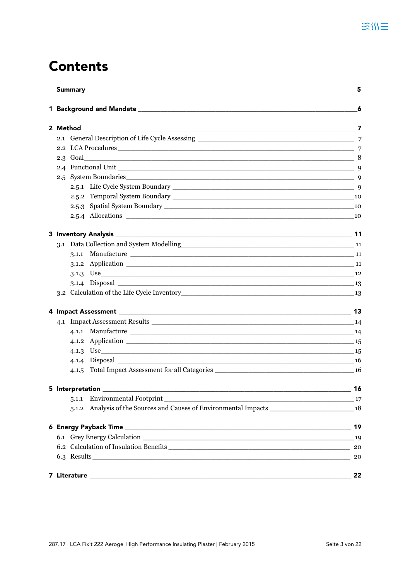## **Contents**

| <b>Summary</b> |       |                                                                                                                 | 5  |  |  |
|----------------|-------|-----------------------------------------------------------------------------------------------------------------|----|--|--|
|                |       |                                                                                                                 | 6  |  |  |
|                |       |                                                                                                                 |    |  |  |
|                |       |                                                                                                                 |    |  |  |
|                |       |                                                                                                                 |    |  |  |
| $2.3$ Goal     |       |                                                                                                                 |    |  |  |
|                |       |                                                                                                                 |    |  |  |
| 2.5            |       |                                                                                                                 |    |  |  |
|                |       |                                                                                                                 |    |  |  |
|                |       |                                                                                                                 |    |  |  |
|                |       |                                                                                                                 |    |  |  |
|                |       | 2.5.4 Allocations 2.5.4 Allocations 2.5.4 Allocations 2.5.4 Allocations 2.5.4 Allocations 2.5.4 Allocations 2.5 |    |  |  |
|                |       |                                                                                                                 |    |  |  |
|                |       |                                                                                                                 |    |  |  |
|                | 3.1.1 |                                                                                                                 |    |  |  |
|                |       | 3.1.2 Application 11                                                                                            |    |  |  |
|                |       |                                                                                                                 |    |  |  |
|                |       |                                                                                                                 |    |  |  |
|                |       |                                                                                                                 |    |  |  |
|                |       |                                                                                                                 |    |  |  |
|                |       |                                                                                                                 |    |  |  |
|                |       |                                                                                                                 |    |  |  |
|                |       | 4.1.2 Application 15                                                                                            |    |  |  |
|                |       |                                                                                                                 |    |  |  |
|                |       |                                                                                                                 |    |  |  |
|                |       |                                                                                                                 |    |  |  |
|                |       |                                                                                                                 |    |  |  |
|                |       |                                                                                                                 |    |  |  |
|                |       | 5.1.2 Analysis of the Sources and Causes of Environmental Impacts __________________________________ 18         |    |  |  |
|                |       |                                                                                                                 |    |  |  |
|                |       |                                                                                                                 |    |  |  |
|                | 20    |                                                                                                                 |    |  |  |
|                |       | 6.3 Results                                                                                                     | 20 |  |  |
|                |       |                                                                                                                 | 22 |  |  |
|                |       |                                                                                                                 |    |  |  |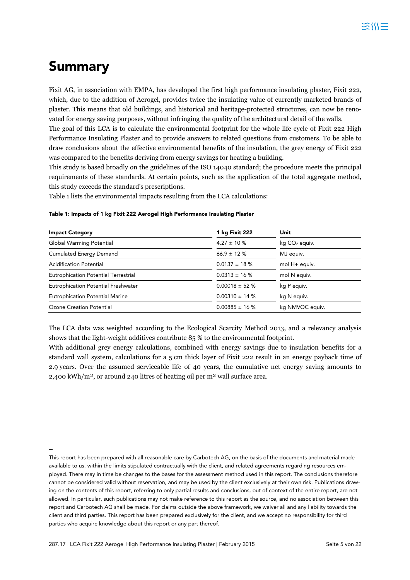## **Summary**

Fixit AG, in association with EMPA, has developed the first high performance insulating plaster, Fixit 222, which, due to the addition of Aerogel, provides twice the insulating value of currently marketed brands of plaster. This means that old buildings, and historical and heritage-protected structures, can now be renovated for energy saving purposes, without infringing the quality of the architectural detail of the walls.

The goal of this LCA is to calculate the environmental footprint for the whole life cycle of Fixit 222 High Performance Insulating Plaster and to provide answers to related questions from customers. To be able to draw conclusions about the effective environmental benefits of the insulation, the grey energy of Fixit 222 was compared to the benefits deriving from energy savings for heating a building.

This study is based broadly on the guidelines of the ISO 14040 standard; the procedure meets the principal requirements of these standards. At certain points, such as the application of the total aggregate method, this study exceeds the standard's prescriptions.

Table 1 lists the environmental impacts resulting from the LCA calculations:

| <b>Impact Category</b>                      | 1 kg Fixit 222     | Unit                      |  |
|---------------------------------------------|--------------------|---------------------------|--|
| Global Warming Potential                    | $4.27 \pm 10 \%$   | kg CO <sub>2</sub> equiv. |  |
| <b>Cumulated Energy Demand</b>              | $66.9 \pm 12 \%$   | MJ equiv.                 |  |
| <b>Acidification Potential</b>              | $0.0137 \pm 18$ %  | mol H+ equiv.             |  |
| <b>Eutrophication Potential Terrestrial</b> | $0.0313 \pm 16$ %  | mol N equiv.              |  |
| Eutrophication Potential Freshwater         | $0.00018 \pm 52$ % | kg P equiv.               |  |
| <b>Eutrophication Potential Marine</b>      | $0.00310 \pm 14$ % | kg N equiv.               |  |
| Ozone Creation Potential                    | $0.00885 \pm 16$ % | kg NMVOC equiv.           |  |

#### **Table 1: Impacts of 1 kg Fixit 222 Aerogel High Performance Insulating Plaster**

The LCA data was weighted according to the Ecological Scarcity Method 2013, and a relevancy analysis shows that the light-weight additives contribute 85 % to the environmental footprint.

With additional grey energy calculations, combined with energy savings due to insulation benefits for a standard wall system, calculations for a 5 cm thick layer of Fixit 222 result in an energy payback time of 2.9 years. Over the assumed serviceable life of 40 years, the cumulative net energy saving amounts to 2,400 kWh/m², or around 240 litres of heating oil per m² wall surface area.

–

This report has been prepared with all reasonable care by Carbotech AG, on the basis of the documents and material made available to us, within the limits stipulated contractually with the client, and related agreements regarding resources employed. There may in time be changes to the bases for the assessment method used in this report. The conclusions therefore cannot be considered valid without reservation, and may be used by the client exclusively at their own risk. Publications drawing on the contents of this report, referring to only partial results and conclusions, out of context of the entire report, are not allowed. In particular, such publications may not make reference to this report as the source, and no association between this report and Carbotech AG shall be made. For claims outside the above framework, we waiver all and any liability towards the client and third parties. This report has been prepared exclusively for the client, and we accept no responsibility for third parties who acquire knowledge about this report or any part thereof.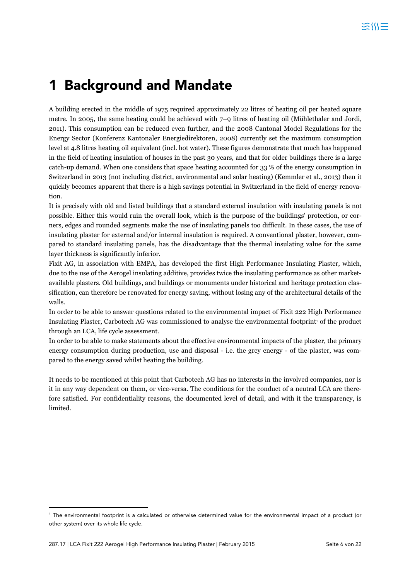## **1 Background and Mandate**

A building erected in the middle of 1975 required approximately 22 litres of heating oil per heated square metre. In 2005, the same heating could be achieved with 7–9 litres of heating oil (Mühlethaler and Jordi, 2011). This consumption can be reduced even further, and the 2008 Cantonal Model Regulations for the Energy Sector (Konferenz Kantonaler Energiedirektoren, 2008) currently set the maximum consumption level at 4.8 litres heating oil equivalent (incl. hot water). These figures demonstrate that much has happened in the field of heating insulation of houses in the past 30 years, and that for older buildings there is a large catch-up demand. When one considers that space heating accounted for 33 % of the energy consumption in Switzerland in 2013 (not including district, environmental and solar heating) (Kemmler et al., 2013) then it quickly becomes apparent that there is a high savings potential in Switzerland in the field of energy renovation.

It is precisely with old and listed buildings that a standard external insulation with insulating panels is not possible. Either this would ruin the overall look, which is the purpose of the buildings' protection, or corners, edges and rounded segments make the use of insulating panels too difficult. In these cases, the use of insulating plaster for external and/or internal insulation is required. A conventional plaster, however, compared to standard insulating panels, has the disadvantage that the thermal insulating value for the same layer thickness is significantly inferior.

Fixit AG, in association with EMPA, has developed the first High Performance Insulating Plaster, which, due to the use of the Aerogel insulating additive, provides twice the insulating performance as other marketavailable plasters. Old buildings, and buildings or monuments under historical and heritage protection classification, can therefore be renovated for energy saving, without losing any of the architectural details of the walls.

In order to be able to answer questions related to the environmental impact of Fixit 222 High Performance Insulating Plaster, Carbotech AG was commissioned to analyse the environmental footprint<sup>1</sup> of the product through an LCA, life cycle assessment.

In order to be able to make statements about the effective environmental impacts of the plaster, the primary energy consumption during production, use and disposal - i.e. the grey energy - of the plaster, was compared to the energy saved whilst heating the building.

It needs to be mentioned at this point that Carbotech AG has no interests in the involved companies, nor is it in any way dependent on them, or vice-versa. The conditions for the conduct of a neutral LCA are therefore satisfied. For confidentiality reasons, the documented level of detail, and with it the transparency, is limited.

 $\overline{a}$ 

<sup>1</sup> The environmental footprint is a calculated or otherwise determined value for the environmental impact of a product (or other system) over its whole life cycle.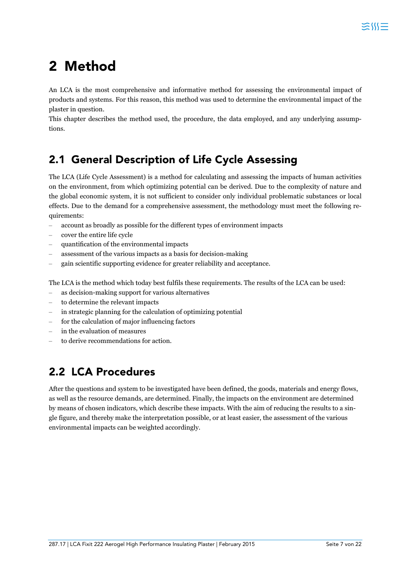## **2 Method**

An LCA is the most comprehensive and informative method for assessing the environmental impact of products and systems. For this reason, this method was used to determine the environmental impact of the plaster in question.

This chapter describes the method used, the procedure, the data employed, and any underlying assumptions.

## **2.1 General Description of Life Cycle Assessing**

The LCA (Life Cycle Assessment) is a method for calculating and assessing the impacts of human activities on the environment, from which optimizing potential can be derived. Due to the complexity of nature and the global economic system, it is not sufficient to consider only individual problematic substances or local effects. Due to the demand for a comprehensive assessment, the methodology must meet the following requirements:

- account as broadly as possible for the different types of environment impacts
- cover the entire life cycle
- quantification of the environmental impacts
- assessment of the various impacts as a basis for decision-making
- gain scientific supporting evidence for greater reliability and acceptance.

The LCA is the method which today best fulfils these requirements. The results of the LCA can be used:

- as decision-making support for various alternatives
- to determine the relevant impacts
- in strategic planning for the calculation of optimizing potential
- for the calculation of major influencing factors
- in the evaluation of measures
- to derive recommendations for action.

## **2.2 LCA Procedures**

After the questions and system to be investigated have been defined, the goods, materials and energy flows, as well as the resource demands, are determined. Finally, the impacts on the environment are determined by means of chosen indicators, which describe these impacts. With the aim of reducing the results to a single figure, and thereby make the interpretation possible, or at least easier, the assessment of the various environmental impacts can be weighted accordingly.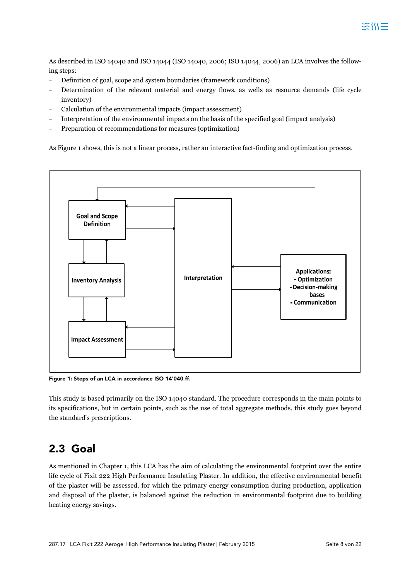As described in ISO 14040 and ISO 14044 (ISO 14040, 2006; ISO 14044, 2006) an LCA involves the following steps:

- Definition of goal, scope and system boundaries (framework conditions)
- Determination of the relevant material and energy flows, as wells as resource demands (life cycle inventory)
- Calculation of the environmental impacts (impact assessment)
- Interpretation of the environmental impacts on the basis of the specified goal (impact analysis)
- Preparation of recommendations for measures (optimization)

As Figure 1 shows, this is not a linear process, rather an interactive fact-finding and optimization process.



This study is based primarily on the ISO 14040 standard. The procedure corresponds in the main points to its specifications, but in certain points, such as the use of total aggregate methods, this study goes beyond the standard's prescriptions.

### **2.3 Goal**

As mentioned in Chapter 1, this LCA has the aim of calculating the environmental footprint over the entire life cycle of Fixit 222 High Performance Insulating Plaster. In addition, the effective environmental benefit of the plaster will be assessed, for which the primary energy consumption during production, application and disposal of the plaster, is balanced against the reduction in environmental footprint due to building heating energy savings.

ミM三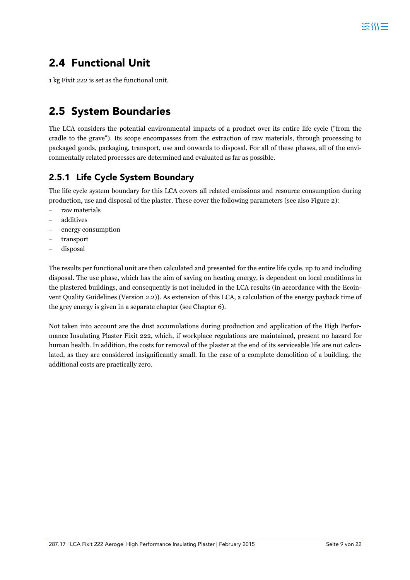## **2.4 Functional Unit**

1 kg Fixit 222 is set as the functional unit.

### **2.5 System Boundaries**

The LCA considers the potential environmental impacts of a product over its entire life cycle ("from the cradle to the grave"). Its scope encompasses from the extraction of raw materials, through processing to packaged goods, packaging, transport, use and onwards to disposal. For all of these phases, all of the environmentally related processes are determined and evaluated as far as possible.

#### **2.5.1 Life Cycle System Boundary**

The life cycle system boundary for this LCA covers all related emissions and resource consumption during production, use and disposal of the plaster. These cover the following parameters (see also Figure 2):

- raw materials
- additives
- energy consumption
- transport
- disposal

The results per functional unit are then calculated and presented for the entire life cycle, up to and including disposal. The use phase, which has the aim of saving on heating energy, is dependent on local conditions in the plastered buildings, and consequently is not included in the LCA results (in accordance with the Ecoinvent Quality Guidelines (Version 2.2)). As extension of this LCA, a calculation of the energy payback time of the grey energy is given in a separate chapter (see Chapter 6).

Not taken into account are the dust accumulations during production and application of the High Performance Insulating Plaster Fixit 222, which, if workplace regulations are maintained, present no hazard for human health. In addition, the costs for removal of the plaster at the end of its serviceable life are not calculated, as they are considered insignificantly small. In the case of a complete demolition of a building, the additional costs are practically zero.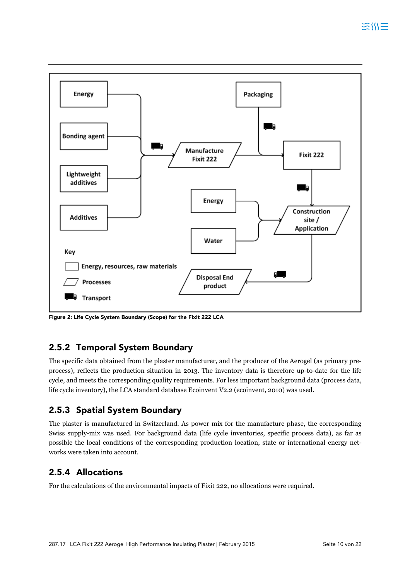

#### **2.5.2 Temporal System Boundary**

The specific data obtained from the plaster manufacturer, and the producer of the Aerogel (as primary preprocess), reflects the production situation in 2013. The inventory data is therefore up-to-date for the life cycle, and meets the corresponding quality requirements. For less important background data (process data, life cycle inventory), the LCA standard database Ecoinvent V2.2 (ecoinvent, 2010) was used.

#### **2.5.3 Spatial System Boundary**

The plaster is manufactured in Switzerland. As power mix for the manufacture phase, the corresponding Swiss supply-mix was used. For background data (life cycle inventories, specific process data), as far as possible the local conditions of the corresponding production location, state or international energy networks were taken into account.

#### **2.5.4 Allocations**

For the calculations of the environmental impacts of Fixit 222, no allocations were required.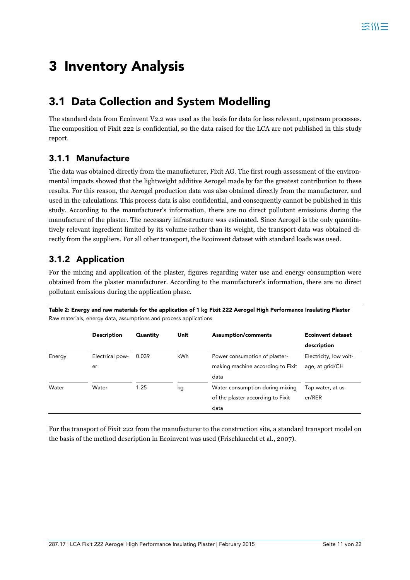## **3 Inventory Analysis**

### **3.1 Data Collection and System Modelling**

The standard data from Ecoinvent V2.2 was used as the basis for data for less relevant, upstream processes. The composition of Fixit 222 is confidential, so the data raised for the LCA are not published in this study report.

#### **3.1.1 Manufacture**

The data was obtained directly from the manufacturer, Fixit AG. The first rough assessment of the environmental impacts showed that the lightweight additive Aerogel made by far the greatest contribution to these results. For this reason, the Aerogel production data was also obtained directly from the manufacturer, and used in the calculations. This process data is also confidential, and consequently cannot be published in this study. According to the manufacturer's information, there are no direct pollutant emissions during the manufacture of the plaster. The necessary infrastructure was estimated. Since Aerogel is the only quantitatively relevant ingredient limited by its volume rather than its weight, the transport data was obtained directly from the suppliers. For all other transport, the Ecoinvent dataset with standard loads was used.

#### **3.1.2 Application**

For the mixing and application of the plaster, figures regarding water use and energy consumption were obtained from the plaster manufacturer. According to the manufacturer's information, there are no direct pollutant emissions during the application phase.

**Table 2: Energy and raw materials for the application of 1 kg Fixit 222 Aerogel High Performance Insulating Plaster**  Raw materials, energy data, assumptions and process applications

|        | <b>Description</b> | Quantity | Unit | <b>Assumption/comments</b>        | <b>Ecoinvent dataset</b> |
|--------|--------------------|----------|------|-----------------------------------|--------------------------|
|        |                    |          |      |                                   | description              |
| Energy | Electrical pow-    | 0.039    | kWh  | Power consumption of plaster-     | Electricity, low volt-   |
|        | er                 |          |      | making machine according to Fixit | age, at grid/CH          |
|        |                    |          |      | data                              |                          |
| Water  | Water              | 1.25     | kg   | Water consumption during mixing   | Tap water, at us-        |
|        |                    |          |      | of the plaster according to Fixit | er/RER                   |
|        |                    |          |      | data                              |                          |

For the transport of Fixit 222 from the manufacturer to the construction site, a standard transport model on the basis of the method description in Ecoinvent was used (Frischknecht et al., 2007).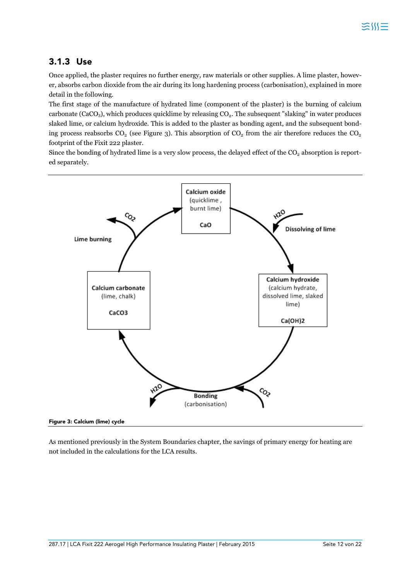#### **3.1.3 Use**

Once applied, the plaster requires no further energy, raw materials or other supplies. A lime plaster, however, absorbs carbon dioxide from the air during its long hardening process (carbonisation), explained in more detail in the following.

The first stage of the manufacture of hydrated lime (component of the plaster) is the burning of calcium carbonate (CaCO<sub>3</sub>), which produces quicklime by releasing CO<sub>2</sub>. The subsequent "slaking" in water produces slaked lime, or calcium hydroxide. This is added to the plaster as bonding agent, and the subsequent bonding process reabsorbs  $CO_2$  (see Figure 3). This absorption of  $CO_2$  from the air therefore reduces the  $CO_2$ footprint of the Fixit 222 plaster.

Since the bonding of hydrated lime is a very slow process, the delayed effect of the  $CO<sub>2</sub>$  absorption is reported separately.



**Figure 3: Calcium (lime) cycle** 

As mentioned previously in the System Boundaries chapter, the savings of primary energy for heating are not included in the calculations for the LCA results.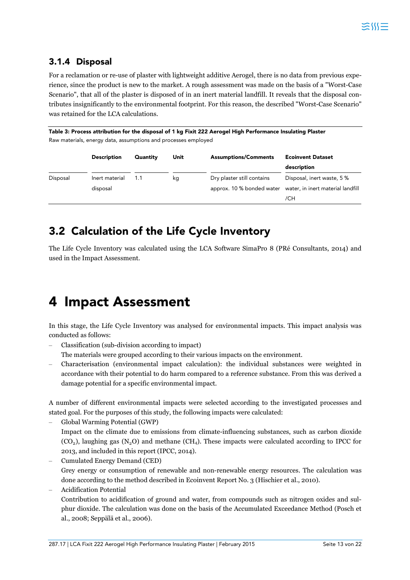#### **3.1.4 Disposal**

For a reclamation or re-use of plaster with lightweight additive Aerogel, there is no data from previous experience, since the product is new to the market. A rough assessment was made on the basis of a "Worst-Case Scenario", that all of the plaster is disposed of in an inert material landfill. It reveals that the disposal contributes insignificantly to the environmental footprint. For this reason, the described "Worst-Case Scenario" was retained for the LCA calculations.

**Table 3: Process attribution for the disposal of 1 kg Fixit 222 Aerogel High Performance Insulating Plaster**  Raw materials, energy data, assumptions and processes employed

|          | <b>Description</b> | Quantity | Unit | <b>Assumptions/Comments</b> | <b>Ecoinvent Dataset</b>          |
|----------|--------------------|----------|------|-----------------------------|-----------------------------------|
|          |                    |          |      |                             | description                       |
| Disposal | Inert material     | 1.1      | kg   | Dry plaster still contains  | Disposal, inert waste, 5 %        |
|          | disposal           |          |      | approx. 10 % bonded water   | water, in inert material landfill |
|          |                    |          |      |                             | /CH                               |

### **3.2 Calculation of the Life Cycle Inventory**

The Life Cycle Inventory was calculated using the LCA Software SimaPro 8 (PRé Consultants, 2014) and used in the Impact Assessment.

## **4 Impact Assessment**

In this stage, the Life Cycle Inventory was analysed for environmental impacts. This impact analysis was conducted as follows:

– Classification (sub-division according to impact)

The materials were grouped according to their various impacts on the environment.

– Characterisation (environmental impact calculation): the individual substances were weighted in accordance with their potential to do harm compared to a reference substance. From this was derived a damage potential for a specific environmental impact.

A number of different environmental impacts were selected according to the investigated processes and stated goal. For the purposes of this study, the following impacts were calculated:

- Global Warming Potential (GWP) Impact on the climate due to emissions from climate-influencing substances, such as carbon dioxide  $(CO<sub>2</sub>)$ , laughing gas  $(N<sub>2</sub>O)$  and methane  $(CH<sub>4</sub>)$ . These impacts were calculated according to IPCC for 2013, and included in this report (IPCC, 2014).
- Cumulated Energy Demand (CED) Grey energy or consumption of renewable and non-renewable energy resources. The calculation was done according to the method described in Ecoinvent Report No. 3 (Hischier et al., 2010).
- Acidification Potential

Contribution to acidification of ground and water, from compounds such as nitrogen oxides and sulphur dioxide. The calculation was done on the basis of the Accumulated Exceedance Method (Posch et al., 2008; Seppälä et al., 2006).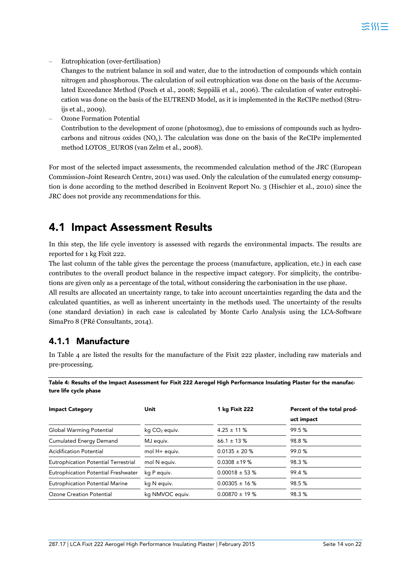– Eutrophication (over-fertilisation)

Changes to the nutrient balance in soil and water, due to the introduction of compounds which contain nitrogen and phosphorous. The calculation of soil eutrophication was done on the basis of the Accumulated Exceedance Method (Posch et al., 2008; Seppälä et al., 2006). The calculation of water eutrophication was done on the basis of the EUTREND Model, as it is implemented in the ReCIPe method (Struijs et al., 2009).

– Ozone Formation Potential Contribution to the development of ozone (photosmog), due to emissions of compounds such as hydrocarbons and nitrous oxides  $(NO_x)$ . The calculation was done on the basis of the ReCIPe implemented method LOTOS\_EUROS (van Zelm et al., 2008).

For most of the selected impact assessments, the recommended calculation method of the JRC (European Commission-Joint Research Centre, 2011) was used. Only the calculation of the cumulated energy consumption is done according to the method described in Ecoinvent Report No. 3 (Hischier et al., 2010) since the JRC does not provide any recommendations for this.

### **4.1 Impact Assessment Results**

In this step, the life cycle inventory is assessed with regards the environmental impacts. The results are reported for 1 kg Fixit 222.

The last column of the table gives the percentage the process (manufacture, application, etc.) in each case contributes to the overall product balance in the respective impact category. For simplicity, the contributions are given only as a percentage of the total, without considering the carbonisation in the use phase.

All results are allocated an uncertainty range, to take into account uncertainties regarding the data and the calculated quantities, as well as inherent uncertainty in the methods used. The uncertainty of the results (one standard deviation) in each case is calculated by Monte Carlo Analysis using the LCA-Software SimaPro 8 (PRé Consultants, 2014).

#### **4.1.1 Manufacture**

In Table 4 are listed the results for the manufacture of the Fixit 222 plaster, including raw materials and pre-processing.

**Table 4: Results of the Impact Assessment for Fixit 222 Aerogel High Performance Insulating Plaster for the manufacture life cycle phase** 

| <b>Impact Category</b>                 | Unit                      | 1 kg Fixit 222     | Percent of the total prod- |
|----------------------------------------|---------------------------|--------------------|----------------------------|
|                                        |                           |                    | uct impact                 |
| Global Warming Potential               | kg CO <sub>2</sub> equiv. | $4.25 \pm 11 \%$   | 99.5%                      |
| <b>Cumulated Energy Demand</b>         | MJ equiv.                 | 66.1 $\pm$ 13 %    | 98.8%                      |
| <b>Acidification Potential</b>         | mol H+ equiv.             | $0.0135 \pm 20 \%$ | 99.0%                      |
| Eutrophication Potential Terrestrial   | mol N equiv.              | $0.0308 \pm 19 \%$ | 98.3%                      |
| Eutrophication Potential Freshwater    | kg P equiv.               | $0.00018 \pm 53$ % | 99.4%                      |
| <b>Eutrophication Potential Marine</b> | kg N equiv.               | $0.00305 \pm 16$ % | 98.5%                      |
| Ozone Creation Potential               | kg NMVOC equiv.           | $0.00870 \pm 19$ % | 98.3%                      |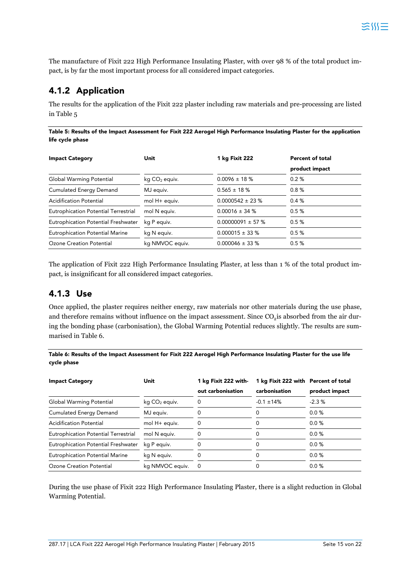The manufacture of Fixit 222 High Performance Insulating Plaster, with over 98 % of the total product impact, is by far the most important process for all considered impact categories.

#### **4.1.2 Application**

The results for the application of the Fixit 222 plaster including raw materials and pre-processing are listed in Table 5

**Table 5: Results of the Impact Assessment for Fixit 222 Aerogel High Performance Insulating Plaster for the application life cycle phase** 

| <b>Impact Category</b>                      | Unit                      | 1 kg Fixit 222        | <b>Percent of total</b> |
|---------------------------------------------|---------------------------|-----------------------|-------------------------|
|                                             |                           |                       | product impact          |
| Global Warming Potential                    | kg CO <sub>2</sub> equiv. | $0.0096 \pm 18 \%$    | 0.2%                    |
| <b>Cumulated Energy Demand</b>              | MJ equiv.                 | $0.565 \pm 18 \%$     | 0.8%                    |
| <b>Acidification Potential</b>              | mol H+ equiv.             | $0.0000542 \pm 23$ %  | 0.4%                    |
| <b>Eutrophication Potential Terrestrial</b> | mol N equiv.              | $0.00016 \pm 34 \%$   | 0.5%                    |
| Eutrophication Potential Freshwater         | kg P equiv.               | $0.00000091 \pm 57 %$ | 0.5%                    |
| <b>Eutrophication Potential Marine</b>      | kg N equiv.               | $0.000015 \pm 33$ %   | 0.5%                    |
| Ozone Creation Potential                    | kg NMVOC equiv.           | $0.000046 \pm 33$ %   | 0.5%                    |

The application of Fixit 222 High Performance Insulating Plaster, at less than 1 % of the total product impact, is insignificant for all considered impact categories.

#### **4.1.3 Use**

Once applied, the plaster requires neither energy, raw materials nor other materials during the use phase, and therefore remains without influence on the impact assessment. Since  $\rm CO_2$  is absorbed from the air during the bonding phase (carbonisation), the Global Warming Potential reduces slightly. The results are summarised in Table 6.

**Table 6: Results of the Impact Assessment for Fixit 222 Aerogel High Performance Insulating Plaster for the use life cycle phase** 

| <b>Impact Category</b>                      | Unit                      | 1 kg Fixit 222 with- | 1 kg Fixit 222 with Percent of total |                |
|---------------------------------------------|---------------------------|----------------------|--------------------------------------|----------------|
|                                             |                           | out carbonisation    | carbonisation                        | product impact |
| Global Warming Potential                    | kg CO <sub>2</sub> equiv. |                      | $-0.1 \pm 14\%$                      | $-2.3%$        |
| <b>Cumulated Energy Demand</b>              | MJ equiv.                 |                      |                                      | $0.0 \%$       |
| <b>Acidification Potential</b>              | mol H+ equiv.             |                      |                                      | $0.0 \%$       |
| <b>Eutrophication Potential Terrestrial</b> | mol N equiv.              |                      |                                      | $0.0 \%$       |
| Eutrophication Potential Freshwater         | kg P equiv.               |                      |                                      | $0.0 \%$       |
| <b>Eutrophication Potential Marine</b>      | kg N equiv.               |                      |                                      | 0.0%           |
| Ozone Creation Potential                    | kg NMVOC equiv.           | $\Omega$             |                                      | $0.0 \%$       |

During the use phase of Fixit 222 High Performance Insulating Plaster, there is a slight reduction in Global Warming Potential.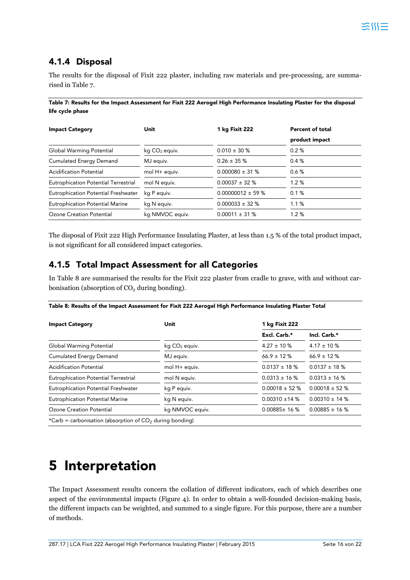#### **4.1.4 Disposal**

The results for the disposal of Fixit 222 plaster, including raw materials and pre-processing, are summarised in Table 7.

**Table 7: Results for the Impact Assessment for Fixit 222 Aerogel High Performance Insulating Plaster for the disposal life cycle phase** 

| <b>Impact Category</b>                      | Unit                      | 1 kg Fixit 222         | <b>Percent of total</b> |
|---------------------------------------------|---------------------------|------------------------|-------------------------|
|                                             |                           |                        | product impact          |
| Global Warming Potential                    | kg CO <sub>2</sub> equiv. | $0.010 \pm 30 \%$      | 0.2%                    |
| <b>Cumulated Energy Demand</b>              | MJ equiv.                 | $0.26 \pm 35 \%$       | 0.4%                    |
| <b>Acidification Potential</b>              | mol H+ equiv.             | $0.000080 \pm 31$ %    | 0.6%                    |
| <b>Eutrophication Potential Terrestrial</b> | mol N equiv.              | $0.00037 \pm 32 \%$    | 1.2%                    |
| Eutrophication Potential Freshwater         | kg P equiv.               | $0.00000012 \pm 59 \%$ | 0.1%                    |
| <b>Eutrophication Potential Marine</b>      | kg N equiv.               | $0.000033 \pm 32$ %    | 1.1%                    |
| Ozone Creation Potential                    | kg NMVOC equiv.           | $0.00011 \pm 31$ %     | 1.2%                    |

The disposal of Fixit 222 High Performance Insulating Plaster, at less than 1.5 % of the total product impact, is not significant for all considered impact categories.

#### **4.1.5 Total Impact Assessment for all Categories**

In Table 8 are summarised the results for the Fixit 222 plaster from cradle to grave, with and without carbonisation (absorption of  $CO<sub>2</sub>$  during bonding).

|  |  | Table 8: Results of the Impact Assessment for Fixit 222 Aerogel High Performance Insulating Plaster Total |
|--|--|-----------------------------------------------------------------------------------------------------------|
|  |  |                                                                                                           |

| <b>Impact Category</b>                      | Unit                      | 1 kg Fixit 222      |                    |  |
|---------------------------------------------|---------------------------|---------------------|--------------------|--|
|                                             |                           | Excl. Carb.*        | Incl. Carb.*       |  |
| Global Warming Potential                    | kg CO <sub>2</sub> equiv. | $4.27 \pm 10 \%$    | $4.17 \pm 10 \%$   |  |
| <b>Cumulated Energy Demand</b>              | MJ equiv.                 | $66.9 \pm 12\%$     | $66.9 \pm 12\%$    |  |
| <b>Acidification Potential</b>              | mol H+ equiv.             | $0.0137 \pm 18$ %   | $0.0137 \pm 18 \%$ |  |
| <b>Eutrophication Potential Terrestrial</b> | mol N equiv.              | $0.0313 \pm 16$ %   | $0.0313 \pm 16$ %  |  |
| Eutrophication Potential Freshwater         | kg P equiv.               | $0.00018 \pm 52$ %  | $0.00018 \pm 52$ % |  |
| <b>Eutrophication Potential Marine</b>      | kg N equiv.               | $0.00310 \pm 14 \%$ | $0.00310 \pm 14$ % |  |
| Ozone Creation Potential                    | kg NMVOC equiv.           | $0.00885 \pm 16$ %  | $0.00885 \pm 16$ % |  |

## **5 Interpretation**

The Impact Assessment results concern the collation of different indicators, each of which describes one aspect of the environmental impacts (Figure 4). In order to obtain a well-founded decision-making basis, the different impacts can be weighted, and summed to a single figure. For this purpose, there are a number of methods.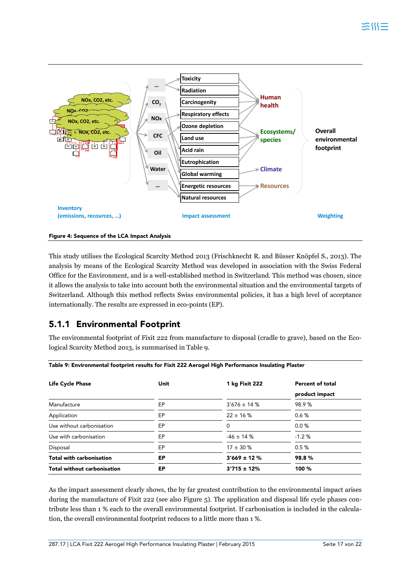



This study utilises the Ecological Scarcity Method 2013 (Frischknecht R. and Büsser Knöpfel S., 2013). The analysis by means of the Ecological Scarcity Method was developed in association with the Swiss Federal Office for the Environment, and is a well-established method in Switzerland. This method was chosen, since it allows the analysis to take into account both the environmental situation and the environmental targets of Switzerland. Although this method reflects Swiss environmental policies, it has a high level of acceptance internationally. The results are expressed in eco-points (EP).

#### **5.1.1 Environmental Footprint**

The environmental footprint of Fixit 222 from manufacture to disposal (cradle to grave), based on the Ecological Scarcity Method 2013, is summarised in Table 9.

| <b>Life Cycle Phase</b>            | Unit | 1 kg Fixit 222    | <b>Percent of total</b> |
|------------------------------------|------|-------------------|-------------------------|
|                                    |      |                   | product impact          |
| Manufacture                        | EP   | $3'676 \pm 14 \%$ | 98.9%                   |
| Application                        | EP   | $22 \pm 16 \%$    | 0.6%                    |
| Use without carbonisation          | EP   | 0                 | 0.0%                    |
| Use with carbonisation             | EP   | $-46 \pm 14 \%$   | $-1.2%$                 |
| Disposal                           | EP   | $17 \pm 30 \%$    | 0.5%                    |
| <b>Total with carbonisation</b>    | ЕP   | $3'669 \pm 12 \%$ | 98.8%                   |
| <b>Total without carbonisation</b> | ЕP   | $3'715 \pm 12\%$  | 100 %                   |

As the impact assessment clearly shows, the by far greatest contribution to the environmental impact arises during the manufacture of Fixit 222 (see also Figure 5). The application and disposal life cycle phases contribute less than 1 % each to the overall environmental footprint. If carbonisation is included in the calculation, the overall environmental footprint reduces to a little more than 1 %.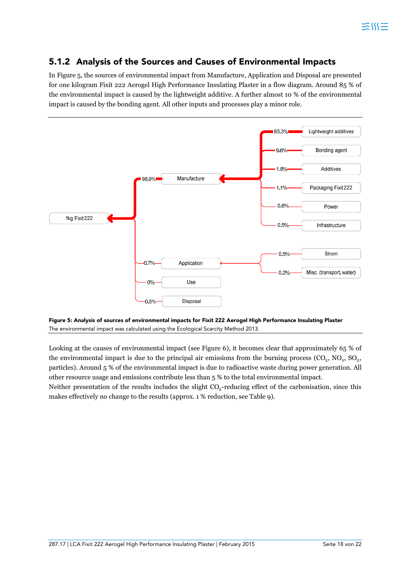#### **5.1.2 Analysis of the Sources and Causes of Environmental Impacts**

In Figure 5, the sources of environmental impact from Manufacture, Application and Disposal are presented for one kilogram Fixit 222 Aerogel High Performance Insulating Plaster in a flow diagram. Around 85 % of the environmental impact is caused by the lightweight additive. A further almost 10 % of the environmental impact is caused by the bonding agent. All other inputs and processes play a minor role.



**Figure 5: Analysis of sources of environmental impacts for Fixit 222 Aerogel High Performance Insulating Plaster**  The environmental impact was calculated using the Ecological Scarcity Method 2013.

Looking at the causes of environmental impact (see Figure 6), it becomes clear that approximately 65 % of the environmental impact is due to the principal air emissions from the burning process  $(CO_2, NO_x, SO_2,$ particles). Around 5 % of the environmental impact is due to radioactive waste during power generation. All other resource usage and emissions contribute less than 5 % to the total environmental impact.

Neither presentation of the results includes the slight  $CO<sub>2</sub>$ -reducing effect of the carbonisation, since this makes effectively no change to the results (approx. 1 % reduction, see Table 9).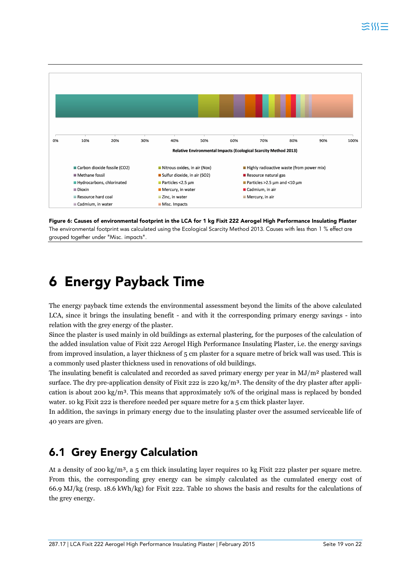

**Figure 6: Causes of environmental footprint in the LCA for 1 kg Fixit 222 Aerogel High Performance Insulating Plaster**  The environmental footprint was calculated using the Ecological Scarcity Method 2013. Causes with less than 1 % effect are grouped together under "Misc. impacts".

## **6 Energy Payback Time**

The energy payback time extends the environmental assessment beyond the limits of the above calculated LCA, since it brings the insulating benefit - and with it the corresponding primary energy savings - into relation with the grey energy of the plaster.

Since the plaster is used mainly in old buildings as external plastering, for the purposes of the calculation of the added insulation value of Fixit 222 Aerogel High Performance Insulating Plaster, i.e. the energy savings from improved insulation, a layer thickness of 5 cm plaster for a square metre of brick wall was used. This is a commonly used plaster thickness used in renovations of old buildings.

The insulating benefit is calculated and recorded as saved primary energy per year in  $MJ/m<sup>2</sup>$  plastered wall surface. The dry pre-application density of Fixit 222 is 220 kg/m<sup>3</sup>. The density of the dry plaster after application is about 200 kg/m<sup>3</sup>. This means that approximately 10% of the original mass is replaced by bonded water. 10 kg Fixit 222 is therefore needed per square metre for a 5 cm thick plaster layer.

In addition, the savings in primary energy due to the insulating plaster over the assumed serviceable life of 40 years are given.

### **6.1 Grey Energy Calculation**

At a density of 200 kg/m<sup>3</sup>, a 5 cm thick insulating layer requires 10 kg Fixit 222 plaster per square metre. From this, the corresponding grey energy can be simply calculated as the cumulated energy cost of 66.9 MJ/kg (resp. 18.6 kWh/kg) for Fixit 222. Table 10 shows the basis and results for the calculations of the grey energy.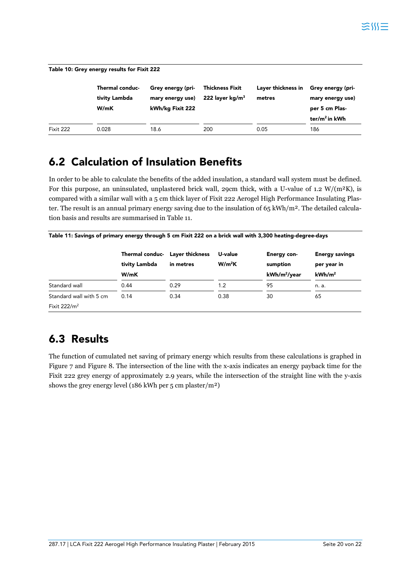| Table 10: Grey energy results for Fixit 222 |                                                 |                                                           |                                              |                              |                                                                              |  |  |  |
|---------------------------------------------|-------------------------------------------------|-----------------------------------------------------------|----------------------------------------------|------------------------------|------------------------------------------------------------------------------|--|--|--|
|                                             | <b>Thermal conduc-</b><br>tivity Lambda<br>W/mK | Grey energy (pri-<br>mary energy use)<br>kWh/kg Fixit 222 | <b>Thickness Fixit</b><br>222 layer kg/m $3$ | Layer thickness in<br>metres | Grey energy (pri-<br>mary energy use)<br>per 5 cm Plas-<br>ter/ $m^2$ in kWh |  |  |  |
| Fixit 222                                   | 0.028                                           | 18.6                                                      | 200                                          | 0.05                         | 186                                                                          |  |  |  |

### **6.2 Calculation of Insulation Benefits**

In order to be able to calculate the benefits of the added insulation, a standard wall system must be defined. For this purpose, an uninsulated, unplastered brick wall, 29cm thick, with a U-value of 1.2 W/( $m<sup>2</sup>K$ ), is compared with a similar wall with a 5 cm thick layer of Fixit 222 Aerogel High Performance Insulating Plaster. The result is an annual primary energy saving due to the insulation of  $65 \text{ kWh/m}^2$ . The detailed calculation basis and results are summarised in Table 11.

|  |  | Table 11: Savings of primary energy through 5 cm Fixit 222 on a brick wall with 3,300 heating-degree-days |
|--|--|-----------------------------------------------------------------------------------------------------------|
|--|--|-----------------------------------------------------------------------------------------------------------|

|                         | Thermal conduc- Layer thickness<br>tivity Lambda | in metres | U-value<br>W/m <sup>2</sup> K | Energy con-<br>sumption  | <b>Energy savings</b><br>per year in |
|-------------------------|--------------------------------------------------|-----------|-------------------------------|--------------------------|--------------------------------------|
|                         | W/mK                                             |           |                               | kWh/m <sup>2</sup> /year | kWh/m <sup>2</sup>                   |
| Standard wall           | 0.44                                             | 0.29      | 1.2                           | 95                       | n. a.                                |
| Standard wall with 5 cm | 0.14                                             | 0.34      | 0.38                          | 30                       | 65                                   |
| Fixit $222/m^2$         |                                                  |           |                               |                          |                                      |

## **6.3 Results**

The function of cumulated net saving of primary energy which results from these calculations is graphed in Figure 7 and Figure 8. The intersection of the line with the x-axis indicates an energy payback time for the Fixit 222 grey energy of approximately 2.9 years, while the intersection of the straight line with the y-axis shows the grey energy level (186 kWh per 5 cm plaster/m²)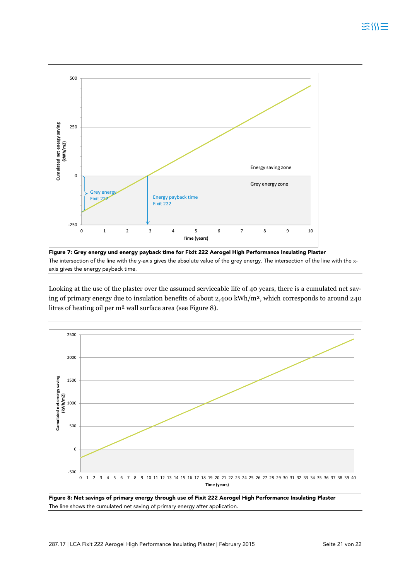

**Figure 7: Grey energy und energy payback time for Fixit 222 Aerogel High Performance Insulating Plaster**  The intersection of the line with the y-axis gives the absolute value of the grey energy. The intersection of the line with the xaxis gives the energy payback time.

Looking at the use of the plaster over the assumed serviceable life of 40 years, there is a cumulated net saving of primary energy due to insulation benefits of about 2,400 kWh/m², which corresponds to around 240 litres of heating oil per m² wall surface area (see Figure 8).



**Figure 8: Net savings of primary energy through use of Fixit 222 Aerogel High Performance Insulating Plaster**  The line shows the cumulated net saving of primary energy after application.